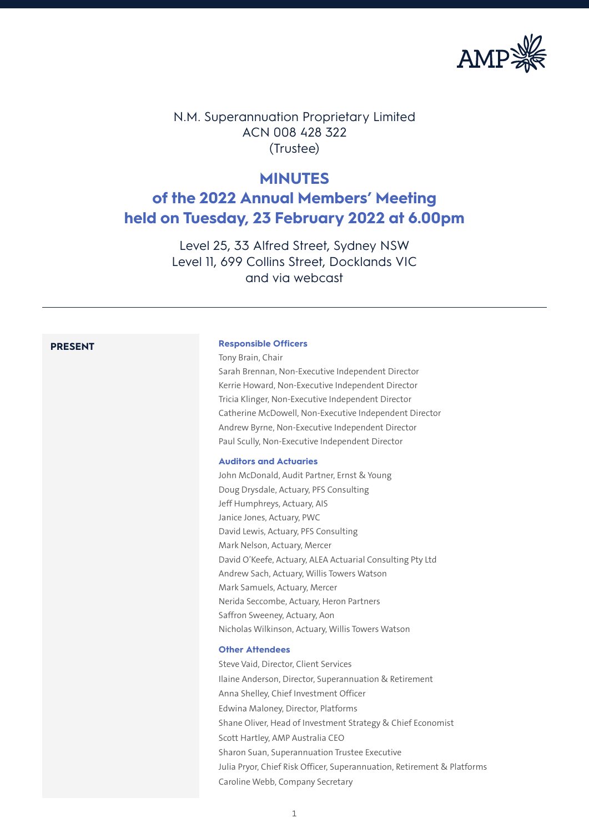

N.M. Superannuation Proprietary Limited ACN 008 428 322 (Trustee)

# **MINUTES**

# **of the 2022 Annual Members' Meeting held on Tuesday, 23 February 2022 at 6.00pm**

Level 25, 33 Alfred Street, Sydney NSW Level 11, 699 Collins Street, Docklands VIC and via webcast

### **PRESENT Responsible Officers**

Tony Brain, Chair Sarah Brennan, Non-Executive Independent Director Kerrie Howard, Non-Executive Independent Director Tricia Klinger, Non-Executive Independent Director Catherine McDowell, Non-Executive Independent Director Andrew Byrne, Non-Executive Independent Director Paul Scully, Non-Executive Independent Director

# **Auditors and Actuaries**

John McDonald, Audit Partner, Ernst & Young Doug Drysdale, Actuary, PFS Consulting Jeff Humphreys, Actuary, AIS Janice Jones, Actuary, PWC David Lewis, Actuary, PFS Consulting Mark Nelson, Actuary, Mercer David O'Keefe, Actuary, ALEA Actuarial Consulting Pty Ltd Andrew Sach, Actuary, Willis Towers Watson Mark Samuels, Actuary, Mercer Nerida Seccombe, Actuary, Heron Partners Saffron Sweeney, Actuary, Aon Nicholas Wilkinson, Actuary, Willis Towers Watson

#### **Other Attendees**

Steve Vaid, Director, Client Services Ilaine Anderson, Director, Superannuation & Retirement Anna Shelley, Chief Investment Officer Edwina Maloney, Director, Platforms Shane Oliver, Head of Investment Strategy & Chief Economist Scott Hartley, AMP Australia CEO Sharon Suan, Superannuation Trustee Executive Julia Pryor, Chief Risk Officer, Superannuation, Retirement & Platforms Caroline Webb, Company Secretary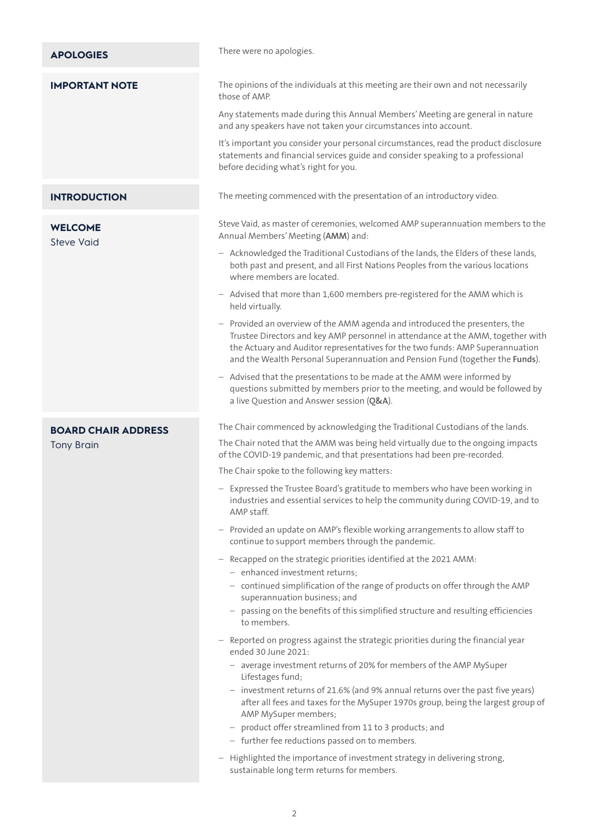| <b>APOLOGIES</b>                    | There were no apologies.                                                                                                                                                                                                                                                                                                         |
|-------------------------------------|----------------------------------------------------------------------------------------------------------------------------------------------------------------------------------------------------------------------------------------------------------------------------------------------------------------------------------|
| <b>IMPORTANT NOTE</b>               | The opinions of the individuals at this meeting are their own and not necessarily<br>those of AMP.                                                                                                                                                                                                                               |
|                                     | Any statements made during this Annual Members' Meeting are general in nature<br>and any speakers have not taken your circumstances into account.                                                                                                                                                                                |
|                                     | It's important you consider your personal circumstances, read the product disclosure<br>statements and financial services guide and consider speaking to a professional<br>before deciding what's right for you.                                                                                                                 |
| <b>INTRODUCTION</b>                 | The meeting commenced with the presentation of an introductory video.                                                                                                                                                                                                                                                            |
| <b>WELCOME</b><br><b>Steve Vaid</b> | Steve Vaid, as master of ceremonies, welcomed AMP superannuation members to the<br>Annual Members' Meeting (AMM) and:                                                                                                                                                                                                            |
|                                     | - Acknowledged the Traditional Custodians of the lands, the Elders of these lands,<br>both past and present, and all First Nations Peoples from the various locations<br>where members are located.                                                                                                                              |
|                                     | - Advised that more than 1,600 members pre-registered for the AMM which is<br>held virtually.                                                                                                                                                                                                                                    |
|                                     | - Provided an overview of the AMM agenda and introduced the presenters, the<br>Trustee Directors and key AMP personnel in attendance at the AMM, together with<br>the Actuary and Auditor representatives for the two funds: AMP Superannuation<br>and the Wealth Personal Superannuation and Pension Fund (together the Funds). |
|                                     | - Advised that the presentations to be made at the AMM were informed by<br>questions submitted by members prior to the meeting, and would be followed by<br>a live Question and Answer session (Q&A).                                                                                                                            |
| <b>BOARD CHAIR ADDRESS</b>          |                                                                                                                                                                                                                                                                                                                                  |
|                                     | The Chair commenced by acknowledging the Traditional Custodians of the lands.                                                                                                                                                                                                                                                    |
| <b>Tony Brain</b>                   | The Chair noted that the AMM was being held virtually due to the ongoing impacts<br>of the COVID-19 pandemic, and that presentations had been pre-recorded.                                                                                                                                                                      |
|                                     | The Chair spoke to the following key matters:                                                                                                                                                                                                                                                                                    |
|                                     | - Expressed the Trustee Board's gratitude to members who have been working in<br>industries and essential services to help the community during COVID-19, and to<br>AMP staff.                                                                                                                                                   |
|                                     | Provided an update on AMP's flexible working arrangements to allow staff to<br>continue to support members through the pandemic.                                                                                                                                                                                                 |
|                                     | Recapped on the strategic priorities identified at the 2021 AMM:<br>- enhanced investment returns;                                                                                                                                                                                                                               |
|                                     | - continued simplification of the range of products on offer through the AMP<br>superannuation business; and                                                                                                                                                                                                                     |
|                                     | - passing on the benefits of this simplified structure and resulting efficiencies<br>to members.                                                                                                                                                                                                                                 |
|                                     | - Reported on progress against the strategic priorities during the financial year<br>ended 30 June 2021:                                                                                                                                                                                                                         |
|                                     | - average investment returns of 20% for members of the AMP MySuper<br>Lifestages fund;                                                                                                                                                                                                                                           |
|                                     | - investment returns of 21.6% (and 9% annual returns over the past five years)<br>after all fees and taxes for the MySuper 1970s group, being the largest group of<br>AMP MySuper members;                                                                                                                                       |
|                                     | - product offer streamlined from 11 to 3 products; and                                                                                                                                                                                                                                                                           |
|                                     | - further fee reductions passed on to members.<br>- Highlighted the importance of investment strategy in delivering strong,                                                                                                                                                                                                      |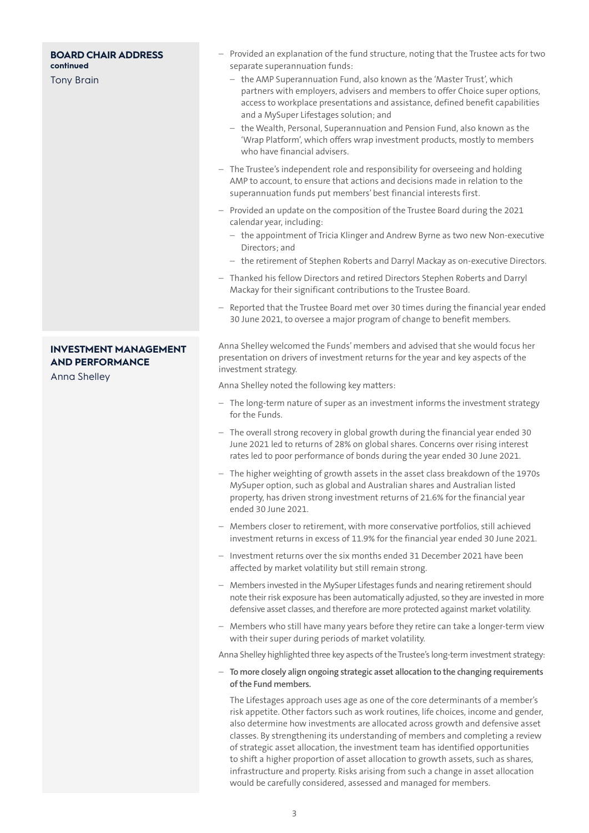#### **BOARD CHAIR ADDRESS continued**

Tony Brain

# **INVESTMENT MANAGEMENT AND PERFORMANCE**

Anna Shelley

- Provided an explanation of the fund structure, noting that the Trustee acts for two separate superannuation funds:
	- the AMP Superannuation Fund, also known as the 'Master Trust', which partners with employers, advisers and members to offer Choice super options, access to workplace presentations and assistance, defined benefit capabilities and a MySuper Lifestages solution; and
	- the Wealth, Personal, Superannuation and Pension Fund, also known as the 'Wrap Platform', which offers wrap investment products, mostly to members who have financial advisers.
- The Trustee's independent role and responsibility for overseeing and holding AMP to account, to ensure that actions and decisions made in relation to the superannuation funds put members' best financial interests first.
- Provided an update on the composition of the Trustee Board during the 2021 calendar year, including:
	- the appointment of Tricia Klinger and Andrew Byrne as two new Non-executive Directors; and
	- the retirement of Stephen Roberts and Darryl Mackay as on-executive Directors.
- Thanked his fellow Directors and retired Directors Stephen Roberts and Darryl Mackay for their significant contributions to the Trustee Board.
- Reported that the Trustee Board met over 30 times during the financial year ended 30 June 2021, to oversee a major program of change to benefit members.

Anna Shelley welcomed the Funds' members and advised that she would focus her presentation on drivers of investment returns for the year and key aspects of the investment strategy.

Anna Shelley noted the following key matters:

- The long-term nature of super as an investment informs the investment strategy for the Funds.
- The overall strong recovery in global growth during the financial year ended 30 June 2021 led to returns of 28% on global shares. Concerns over rising interest rates led to poor performance of bonds during the year ended 30 June 2021.
- The higher weighting of growth assets in the asset class breakdown of the 1970s MySuper option, such as global and Australian shares and Australian listed property, has driven strong investment returns of 21.6% for the financial year ended 30 June 2021.
- Members closer to retirement, with more conservative portfolios, still achieved investment returns in excess of 11.9% for the financial year ended 30 June 2021.
- Investment returns over the six months ended 31 December 2021 have been affected by market volatility but still remain strong.
- Members invested in the MySuper Lifestages funds and nearing retirement should note their risk exposure has been automatically adjusted, so they are invested in more defensive asset classes, and therefore are more protected against market volatility.
- Members who still have many years before they retire can take a longer-term view with their super during periods of market volatility.

Anna Shelley highlighted three key aspects of the Trustee's long-term investment strategy:

– **To more closely align ongoing strategic asset allocation to the changing requirements of the Fund members.** 

The Lifestages approach uses age as one of the core determinants of a member's risk appetite. Other factors such as work routines, life choices, income and gender, also determine how investments are allocated across growth and defensive asset classes. By strengthening its understanding of members and completing a review of strategic asset allocation, the investment team has identified opportunities to shift a higher proportion of asset allocation to growth assets, such as shares, infrastructure and property. Risks arising from such a change in asset allocation would be carefully considered, assessed and managed for members.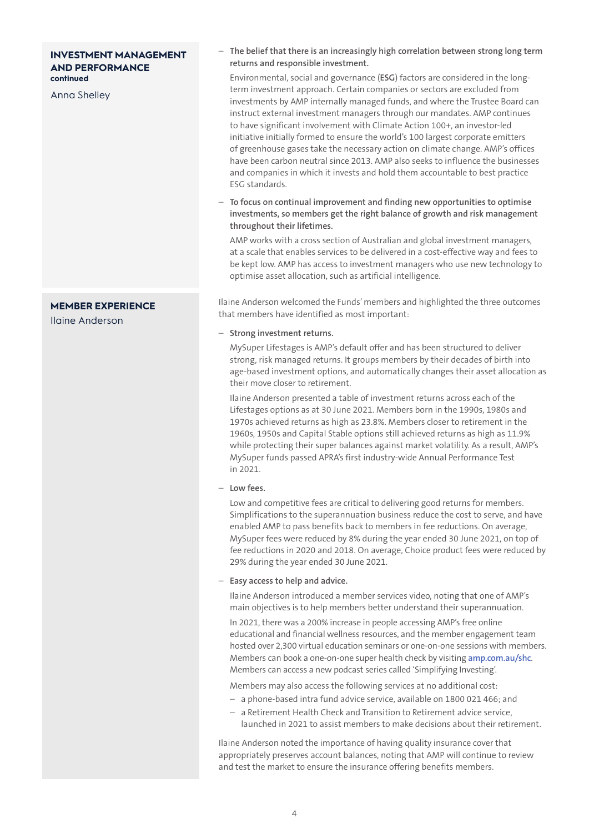# **INVESTMENT MANAGEMENT AND PERFORMANCE continued**

Anna Shelley

# **MEMBER EXPERIENCE**

Ilaine Anderson

# – **The belief that there is an increasingly high correlation between strong long term returns and responsible investment.**

Environmental, social and governance (**ESG**) factors are considered in the longterm investment approach. Certain companies or sectors are excluded from investments by AMP internally managed funds, and where the Trustee Board can instruct external investment managers through our mandates. AMP continues to have significant involvement with Climate Action 100+, an investor-led initiative initially formed to ensure the world's 100 largest corporate emitters of greenhouse gases take the necessary action on climate change. AMP's offices have been carbon neutral since 2013. AMP also seeks to influence the businesses and companies in which it invests and hold them accountable to best practice ESG standards.

– **To focus on continual improvement and finding new opportunities to optimise investments, so members get the right balance of growth and risk management throughout their lifetimes.**

AMP works with a cross section of Australian and global investment managers, at a scale that enables services to be delivered in a cost-effective way and fees to be kept low. AMP has access to investment managers who use new technology to optimise asset allocation, such as artificial intelligence.

Ilaine Anderson welcomed the Funds' members and highlighted the three outcomes that members have identified as most important:

#### – **Strong investment returns.**

MySuper Lifestages is AMP's default offer and has been structured to deliver strong, risk managed returns. It groups members by their decades of birth into age-based investment options, and automatically changes their asset allocation as their move closer to retirement.

Ilaine Anderson presented a table of investment returns across each of the Lifestages options as at 30 June 2021. Members born in the 1990s, 1980s and 1970s achieved returns as high as 23.8%. Members closer to retirement in the 1960s, 1950s and Capital Stable options still achieved returns as high as 11.9% while protecting their super balances against market volatility. As a result, AMP's MySuper funds passed APRA's first industry-wide Annual Performance Test in 2021.

– **Low fees.**

Low and competitive fees are critical to delivering good returns for members. Simplifications to the superannuation business reduce the cost to serve, and have enabled AMP to pass benefits back to members in fee reductions. On average, MySuper fees were reduced by 8% during the year ended 30 June 2021, on top of fee reductions in 2020 and 2018. On average, Choice product fees were reduced by 29% during the year ended 30 June 2021.

– **Easy access to help and advice.**

Ilaine Anderson introduced a member services video, noting that one of AMP's main objectives is to help members better understand their superannuation.

In 2021, there was a 200% increase in people accessing AMP's free online educational and financial wellness resources, and the member engagement team hosted over 2,300 virtual education seminars or one-on-one sessions with members. Members can book a one-on-one super health check by visiting **[amp.com.au/shc](http://www.amp.com.au/shc)**. Members can access a new podcast series called 'Simplifying Investing'.

Members may also access the following services at no additional cost:

- a phone-based intra fund advice service, available on 1800 021 466; and
- a Retirement Health Check and Transition to Retirement advice service, launched in 2021 to assist members to make decisions about their retirement.

Ilaine Anderson noted the importance of having quality insurance cover that appropriately preserves account balances, noting that AMP will continue to review and test the market to ensure the insurance offering benefits members.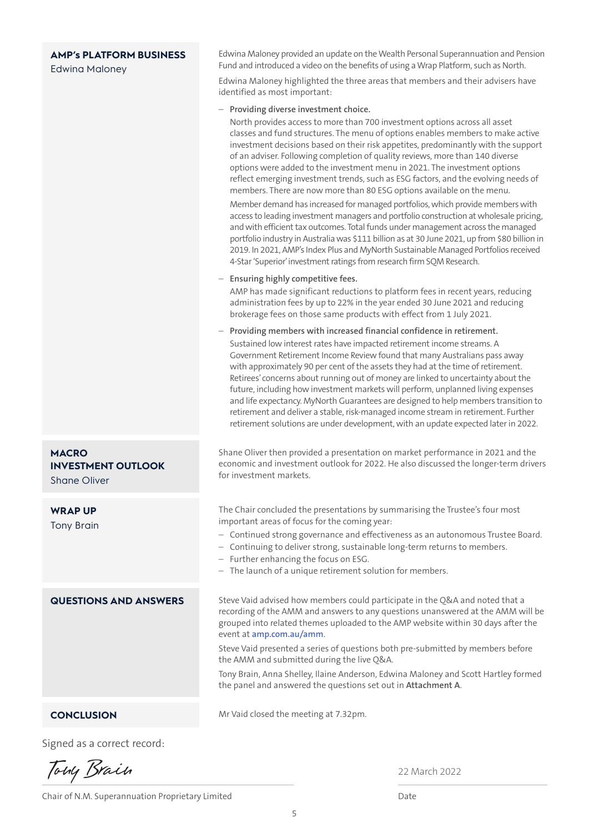# **AMP's PLATFORM BUSINESS**

#### Edwina Maloney

Edwina Maloney provided an update on the Wealth Personal Superannuation and Pension Fund and introduced a video on the benefits of using a Wrap Platform, such as North.

Edwina Maloney highlighted the three areas that members and their advisers have identified as most important:

#### – **Providing diverse investment choice.**

North provides access to more than 700 investment options across all asset classes and fund structures. The menu of options enables members to make active investment decisions based on their risk appetites, predominantly with the support of an adviser. Following completion of quality reviews, more than 140 diverse options were added to the investment menu in 2021. The investment options reflect emerging investment trends, such as ESG factors, and the evolving needs of members. There are now more than 80 ESG options available on the menu.

Member demand has increased for managed portfolios, which provide members with access to leading investment managers and portfolio construction at wholesale pricing, and with efficient tax outcomes. Total funds under management across the managed portfolio industry in Australia was \$111 billion as at 30 June 2021, up from \$80 billion in 2019. In 2021, AMP's Index Plus and MyNorth Sustainable Managed Portfolios received 4-Star 'Superior' investment ratings from research firm SQM Research.

#### – **Ensuring highly competitive fees.**

AMP has made significant reductions to platform fees in recent years, reducing administration fees by up to 22% in the year ended 30 June 2021 and reducing brokerage fees on those same products with effect from 1 July 2021.

– **Providing members with increased financial confidence in retirement.** Sustained low interest rates have impacted retirement income streams. A Government Retirement Income Review found that many Australians pass away with approximately 90 per cent of the assets they had at the time of retirement. Retirees' concerns about running out of money are linked to uncertainty about the future, including how investment markets will perform, unplanned living expenses and life expectancy. MyNorth Guarantees are designed to help members transition to retirement and deliver a stable, risk-managed income stream in retirement. Further retirement solutions are under development, with an update expected later in 2022.

Shane Oliver then provided a presentation on market performance in 2021 and the economic and investment outlook for 2022. He also discussed the longer-term drivers for investment markets.

The Chair concluded the presentations by summarising the Trustee's four most important areas of focus for the coming year:

- Continued strong governance and effectiveness as an autonomous Trustee Board.
- Continuing to deliver strong, sustainable long-term returns to members.
- Further enhancing the focus on ESG.
- The launch of a unique retirement solution for members.

Steve Vaid advised how members could participate in the Q&A and noted that a recording of the AMM and answers to any questions unanswered at the AMM will be grouped into related themes uploaded to the AMP website within 30 days after the event at **[amp.com.au/amm](https://www.amp.com.au/amm)**.

Steve Vaid presented a series of questions both pre-submitted by members before the AMM and submitted during the live Q&A.

Tony Brain, Anna Shelley, Ilaine Anderson, Edwina Maloney and Scott Hartley formed the panel and answered the questions set out in **Attachment A**.

#### Mr Vaid closed the meeting at 7.32pm.

Signed as a correct record:

Tony Brain

**CONCLUSION**

**MACRO** 

Shane Oliver

**WRAP UP** Tony Brain

**INVESTMENT OUTLOOK**

**QUESTIONS AND ANSWERS**

Chair of N.M. Superannuation Proprietary Limited Date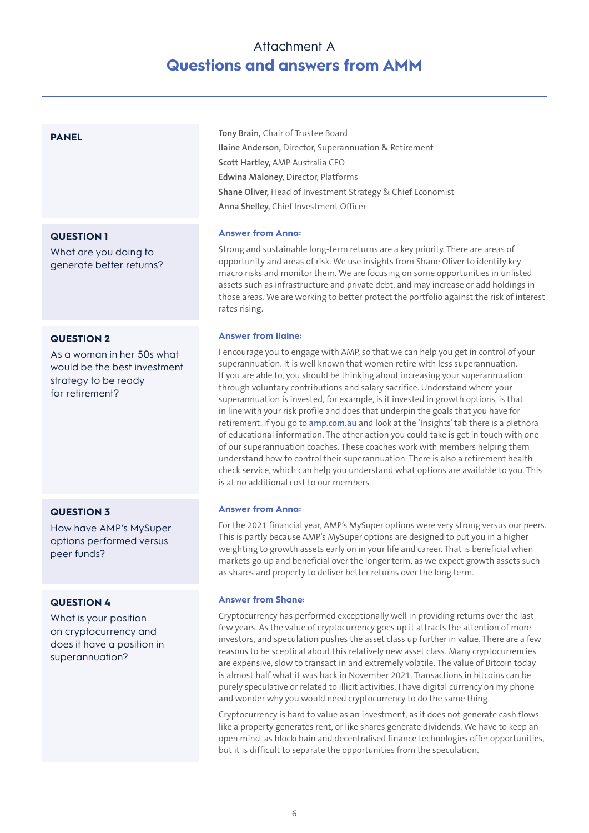# Attachment A **Questions and answers from AMM**

# **PANEL**

**QUESTION 1**

What are you doing to generate better returns?

#### **QUESTION 2**

As a woman in her 50s what would be the best investment strategy to be ready for retirement?

# **QUESTION 3**

How have AMP's MySuper options performed versus peer funds?

# **QUESTION 4**

What is your position on cryptocurrency and does it have a position in superannuation?

**Tony Brain,** Chair of Trustee Board **Ilaine Anderson,** Director, Superannuation & Retirement **Scott Hartley,** AMP Australia CEO **Edwina Maloney,** Director, Platforms **Shane Oliver,** Head of Investment Strategy & Chief Economist **Anna Shelley,** Chief Investment Officer

#### **Answer from Anna:**

Strong and sustainable long-term returns are a key priority. There are areas of opportunity and areas of risk. We use insights from Shane Oliver to identify key macro risks and monitor them. We are focusing on some opportunities in unlisted assets such as infrastructure and private debt, and may increase or add holdings in those areas. We are working to better protect the portfolio against the risk of interest rates rising.

#### **Answer from Ilaine:**

I encourage you to engage with AMP, so that we can help you get in control of your superannuation. It is well known that women retire with less superannuation. If you are able to, you should be thinking about increasing your superannuation through voluntary contributions and salary sacrifice. Understand where your superannuation is invested, for example, is it invested in growth options, is that in line with your risk profile and does that underpin the goals that you have for retirement. If you go to **[amp.com.au](http://www.amp.com.au)** and look at the 'Insights' tab there is a plethora of educational information. The other action you could take is get in touch with one of our superannuation coaches. These coaches work with members helping them understand how to control their superannuation. There is also a retirement health check service, which can help you understand what options are available to you. This is at no additional cost to our members.

#### **Answer from Anna:**

For the 2021 financial year, AMP's MySuper options were very strong versus our peers. This is partly because AMP's MySuper options are designed to put you in a higher weighting to growth assets early on in your life and career. That is beneficial when markets go up and beneficial over the longer term, as we expect growth assets such as shares and property to deliver better returns over the long term.

#### **Answer from Shane:**

Cryptocurrency has performed exceptionally well in providing returns over the last few years. As the value of cryptocurrency goes up it attracts the attention of more investors, and speculation pushes the asset class up further in value. There are a few reasons to be sceptical about this relatively new asset class. Many cryptocurrencies are expensive, slow to transact in and extremely volatile. The value of Bitcoin today is almost half what it was back in November 2021. Transactions in bitcoins can be purely speculative or related to illicit activities. I have digital currency on my phone and wonder why you would need cryptocurrency to do the same thing.

Cryptocurrency is hard to value as an investment, as it does not generate cash flows like a property generates rent, or like shares generate dividends. We have to keep an open mind, as blockchain and decentralised finance technologies offer opportunities, but it is difficult to separate the opportunities from the speculation.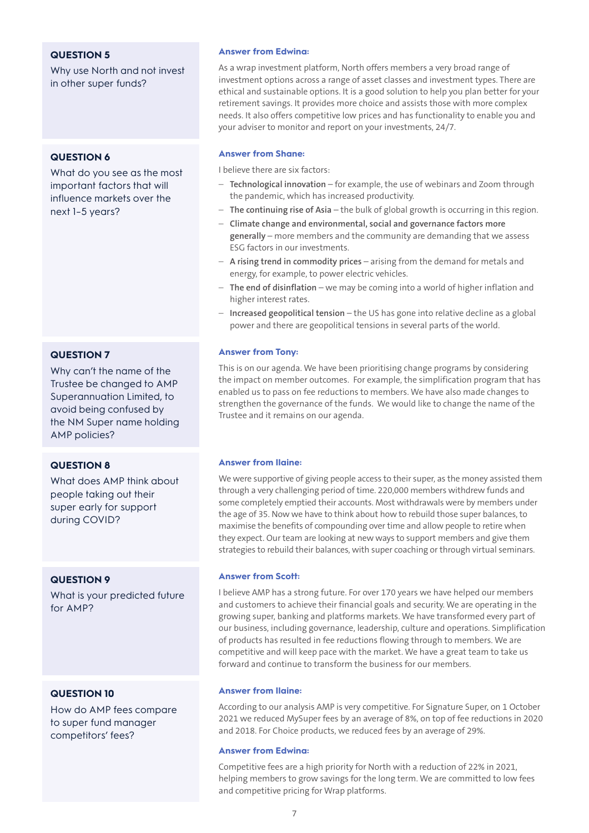# **QUESTION 5**

Why use North and not invest in other super funds?

# **QUESTION 6**

What do you see as the most important factors that will influence markets over the next 1–5 years?

# **QUESTION 7**

Why can't the name of the Trustee be changed to AMP Superannuation Limited, to avoid being confused by the NM Super name holding AMP policies?

# **QUESTION 8**

What does AMP think about people taking out their super early for support during COVID?

# **QUESTION 9**

What is your predicted future for AMP?

# **QUESTION 10**

How do AMP fees compare to super fund manager competitors' fees?

#### **Answer from Edwina:**

As a wrap investment platform, North offers members a very broad range of investment options across a range of asset classes and investment types. There are ethical and sustainable options. It is a good solution to help you plan better for your retirement savings. It provides more choice and assists those with more complex needs. It also offers competitive low prices and has functionality to enable you and your adviser to monitor and report on your investments, 24/7.

#### **Answer from Shane:**

I believe there are six factors:

- **Technological innovation** for example, the use of webinars and Zoom through the pandemic, which has increased productivity.
- **The continuing rise of Asia** the bulk of global growth is occurring in this region.
- **Climate change and environmental, social and governance factors more generally** – more members and the community are demanding that we assess ESG factors in our investments.
- **A rising trend in commodity prices** arising from the demand for metals and energy, for example, to power electric vehicles.
- **The end of disinflation** we may be coming into a world of higher inflation and higher interest rates.
- **Increased geopolitical tension** the US has gone into relative decline as a global power and there are geopolitical tensions in several parts of the world.

#### **Answer from Tony:**

This is on our agenda. We have been prioritising change programs by considering the impact on member outcomes. For example, the simplification program that has enabled us to pass on fee reductions to members. We have also made changes to strengthen the governance of the funds. We would like to change the name of the Trustee and it remains on our agenda.

#### **Answer from Ilaine:**

We were supportive of giving people access to their super, as the money assisted them through a very challenging period of time. 220,000 members withdrew funds and some completely emptied their accounts. Most withdrawals were by members under the age of 35. Now we have to think about how to rebuild those super balances, to maximise the benefits of compounding over time and allow people to retire when they expect. Our team are looking at new ways to support members and give them strategies to rebuild their balances, with super coaching or through virtual seminars.

#### **Answer from Scott:**

I believe AMP has a strong future. For over 170 years we have helped our members and customers to achieve their financial goals and security. We are operating in the growing super, banking and platforms markets. We have transformed every part of our business, including governance, leadership, culture and operations. Simplification of products has resulted in fee reductions flowing through to members. We are competitive and will keep pace with the market. We have a great team to take us forward and continue to transform the business for our members.

#### **Answer from Ilaine:**

According to our analysis AMP is very competitive. For Signature Super, on 1 October 2021 we reduced MySuper fees by an average of 8%, on top of fee reductions in 2020 and 2018. For Choice products, we reduced fees by an average of 29%.

#### **Answer from Edwina:**

Competitive fees are a high priority for North with a reduction of 22% in 2021, helping members to grow savings for the long term. We are committed to low fees and competitive pricing for Wrap platforms.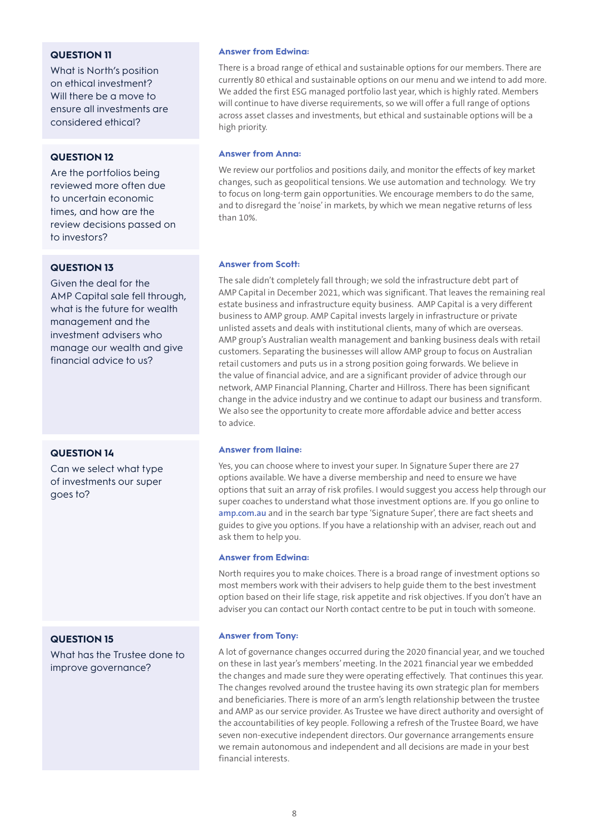# **QUESTION 11**

What is North's position on ethical investment? Will there be a move to ensure all investments are considered ethical?

# **QUESTION 12**

Are the portfolios being reviewed more often due to uncertain economic times, and how are the review decisions passed on to investors?

# **QUESTION 13**

Given the deal for the AMP Capital sale fell through, what is the future for wealth management and the investment advisers who manage our wealth and give financial advice to us?

# **QUESTION 14**

Can we select what type of investments our super goes to?

# **QUESTION 15**

What has the Trustee done to improve governance?

#### **Answer from Edwina:**

There is a broad range of ethical and sustainable options for our members. There are currently 80 ethical and sustainable options on our menu and we intend to add more. We added the first ESG managed portfolio last year, which is highly rated. Members will continue to have diverse requirements, so we will offer a full range of options across asset classes and investments, but ethical and sustainable options will be a high priority.

#### **Answer from Anna:**

We review our portfolios and positions daily, and monitor the effects of key market changes, such as geopolitical tensions. We use automation and technology. We try to focus on long-term gain opportunities. We encourage members to do the same, and to disregard the 'noise' in markets, by which we mean negative returns of less than 10%.

### **Answer from Scott:**

The sale didn't completely fall through; we sold the infrastructure debt part of AMP Capital in December 2021, which was significant. That leaves the remaining real estate business and infrastructure equity business. AMP Capital is a very different business to AMP group. AMP Capital invests largely in infrastructure or private unlisted assets and deals with institutional clients, many of which are overseas. AMP group's Australian wealth management and banking business deals with retail customers. Separating the businesses will allow AMP group to focus on Australian retail customers and puts us in a strong position going forwards. We believe in the value of financial advice, and are a significant provider of advice through our network, AMP Financial Planning, Charter and Hillross. There has been significant change in the advice industry and we continue to adapt our business and transform. We also see the opportunity to create more affordable advice and better access to advice.

### **Answer from Ilaine:**

Yes, you can choose where to invest your super. In Signature Super there are 27 options available. We have a diverse membership and need to ensure we have options that suit an array of risk profiles. I would suggest you access help through our super coaches to understand what those investment options are. If you go online to **[amp.com.au](http://www.amp.com.au)** and in the search bar type 'Signature Super', there are fact sheets and guides to give you options. If you have a relationship with an adviser, reach out and ask them to help you.

#### **Answer from Edwina:**

North requires you to make choices. There is a broad range of investment options so most members work with their advisers to help guide them to the best investment option based on their life stage, risk appetite and risk objectives. If you don't have an adviser you can contact our North contact centre to be put in touch with someone.

#### **Answer from Tony:**

A lot of governance changes occurred during the 2020 financial year, and we touched on these in last year's members' meeting. In the 2021 financial year we embedded the changes and made sure they were operating effectively. That continues this year. The changes revolved around the trustee having its own strategic plan for members and beneficiaries. There is more of an arm's length relationship between the trustee and AMP as our service provider. As Trustee we have direct authority and oversight of the accountabilities of key people. Following a refresh of the Trustee Board, we have seven non-executive independent directors. Our governance arrangements ensure we remain autonomous and independent and all decisions are made in your best financial interests.